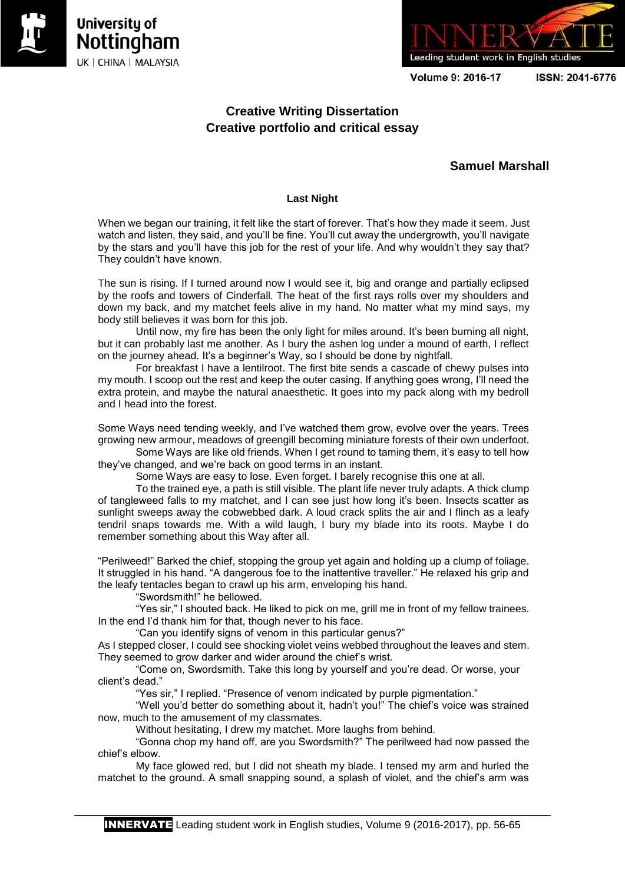



**Volume 9: 2016-17** 

ISSN: 2041-6776

# **Creative Writing Dissertation Creative portfolio and critical essay**

# **Samuel Marshall**

### **Last Night**

When we began our training, it felt like the start of forever. That's how they made it seem. Just watch and listen, they said, and you'll be fine. You'll cut away the undergrowth, you'll navigate by the stars and you'll have this job for the rest of your life. And why wouldn't they say that? They couldn't have known.

The sun is rising. If I turned around now I would see it, big and orange and partially eclipsed by the roofs and towers of Cinderfall. The heat of the first rays rolls over my shoulders and down my back, and my matchet feels alive in my hand. No matter what my mind says, my body still believes it was born for this job.

Until now, my fire has been the only light for miles around. It's been burning all night, but it can probably last me another. As I bury the ashen log under a mound of earth, I reflect on the journey ahead. It's a beginner's Way, so I should be done by nightfall.

For breakfast I have a lentilroot. The first bite sends a cascade of chewy pulses into my mouth. I scoop out the rest and keep the outer casing. If anything goes wrong, I'll need the extra protein, and maybe the natural anaesthetic. It goes into my pack along with my bedroll and I head into the forest.

Some Ways need tending weekly, and I've watched them grow, evolve over the years. Trees growing new armour, meadows of greengill becoming miniature forests of their own underfoot.

Some Ways are like old friends. When I get round to taming them, it's easy to tell how they've changed, and we're back on good terms in an instant.

Some Ways are easy to lose. Even forget. I barely recognise this one at all.

To the trained eye, a path is still visible. The plant life never truly adapts. A thick clump of tangleweed falls to my matchet, and I can see just how long it's been. Insects scatter as sunlight sweeps away the cobwebbed dark. A loud crack splits the air and I flinch as a leafy tendril snaps towards me. With a wild laugh, I bury my blade into its roots. Maybe I do remember something about this Way after all.

"Perilweed!" Barked the chief, stopping the group yet again and holding up a clump of foliage. It struggled in his hand. "A dangerous foe to the inattentive traveller." He relaxed his grip and the leafy tentacles began to crawl up his arm, enveloping his hand.

"Swordsmith!" he bellowed.

"Yes sir," I shouted back. He liked to pick on me, grill me in front of my fellow trainees. In the end I'd thank him for that, though never to his face.

"Can you identify signs of venom in this particular genus?"

As I stepped closer, I could see shocking violet veins webbed throughout the leaves and stem. They seemed to grow darker and wider around the chief's wrist.

"Come on, Swordsmith. Take this long by yourself and you're dead. Or worse, your client's dead."

"Yes sir," I replied. "Presence of venom indicated by purple pigmentation."

"Well you'd better do something about it, hadn't you!" The chief's voice was strained now, much to the amusement of my classmates.

Without hesitating, I drew my matchet. More laughs from behind.

"Gonna chop my hand off, are you Swordsmith?" The perilweed had now passed the chief's elbow.

My face glowed red, but I did not sheath my blade. I tensed my arm and hurled the matchet to the ground. A small snapping sound, a splash of violet, and the chief's arm was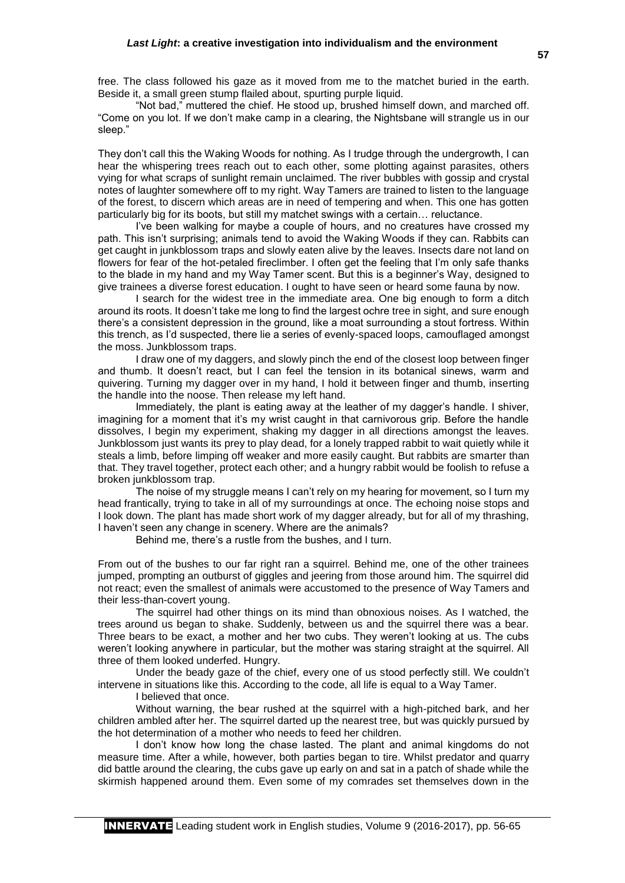free. The class followed his gaze as it moved from me to the matchet buried in the earth. Beside it, a small green stump flailed about, spurting purple liquid.

"Not bad," muttered the chief. He stood up, brushed himself down, and marched off. "Come on you lot. If we don't make camp in a clearing, the Nightsbane will strangle us in our sleep."

They don't call this the Waking Woods for nothing. As I trudge through the undergrowth, I can hear the whispering trees reach out to each other, some plotting against parasites, others vying for what scraps of sunlight remain unclaimed. The river bubbles with gossip and crystal notes of laughter somewhere off to my right. Way Tamers are trained to listen to the language of the forest, to discern which areas are in need of tempering and when. This one has gotten particularly big for its boots, but still my matchet swings with a certain… reluctance.

I've been walking for maybe a couple of hours, and no creatures have crossed my path. This isn't surprising; animals tend to avoid the Waking Woods if they can. Rabbits can get caught in junkblossom traps and slowly eaten alive by the leaves. Insects dare not land on flowers for fear of the hot-petaled fireclimber. I often get the feeling that I'm only safe thanks to the blade in my hand and my Way Tamer scent. But this is a beginner's Way, designed to give trainees a diverse forest education. I ought to have seen or heard some fauna by now.

I search for the widest tree in the immediate area. One big enough to form a ditch around its roots. It doesn't take me long to find the largest ochre tree in sight, and sure enough there's a consistent depression in the ground, like a moat surrounding a stout fortress. Within this trench, as I'd suspected, there lie a series of evenly-spaced loops, camouflaged amongst the moss. Junkblossom traps.

I draw one of my daggers, and slowly pinch the end of the closest loop between finger and thumb. It doesn't react, but I can feel the tension in its botanical sinews, warm and quivering. Turning my dagger over in my hand, I hold it between finger and thumb, inserting the handle into the noose. Then release my left hand.

Immediately, the plant is eating away at the leather of my dagger's handle. I shiver, imagining for a moment that it's my wrist caught in that carnivorous grip. Before the handle dissolves, I begin my experiment, shaking my dagger in all directions amongst the leaves. Junkblossom just wants its prey to play dead, for a lonely trapped rabbit to wait quietly while it steals a limb, before limping off weaker and more easily caught. But rabbits are smarter than that. They travel together, protect each other; and a hungry rabbit would be foolish to refuse a broken junkblossom trap.

The noise of my struggle means I can't rely on my hearing for movement, so I turn my head frantically, trying to take in all of my surroundings at once. The echoing noise stops and I look down. The plant has made short work of my dagger already, but for all of my thrashing, I haven't seen any change in scenery. Where are the animals?

Behind me, there's a rustle from the bushes, and I turn.

From out of the bushes to our far right ran a squirrel. Behind me, one of the other trainees jumped, prompting an outburst of giggles and jeering from those around him. The squirrel did not react; even the smallest of animals were accustomed to the presence of Way Tamers and their less-than-covert young.

The squirrel had other things on its mind than obnoxious noises. As I watched, the trees around us began to shake. Suddenly, between us and the squirrel there was a bear. Three bears to be exact, a mother and her two cubs. They weren't looking at us. The cubs weren't looking anywhere in particular, but the mother was staring straight at the squirrel. All three of them looked underfed. Hungry.

Under the beady gaze of the chief, every one of us stood perfectly still. We couldn't intervene in situations like this. According to the code, all life is equal to a Way Tamer.

I believed that once.

Without warning, the bear rushed at the squirrel with a high-pitched bark, and her children ambled after her. The squirrel darted up the nearest tree, but was quickly pursued by the hot determination of a mother who needs to feed her children.

I don't know how long the chase lasted. The plant and animal kingdoms do not measure time. After a while, however, both parties began to tire. Whilst predator and quarry did battle around the clearing, the cubs gave up early on and sat in a patch of shade while the skirmish happened around them. Even some of my comrades set themselves down in the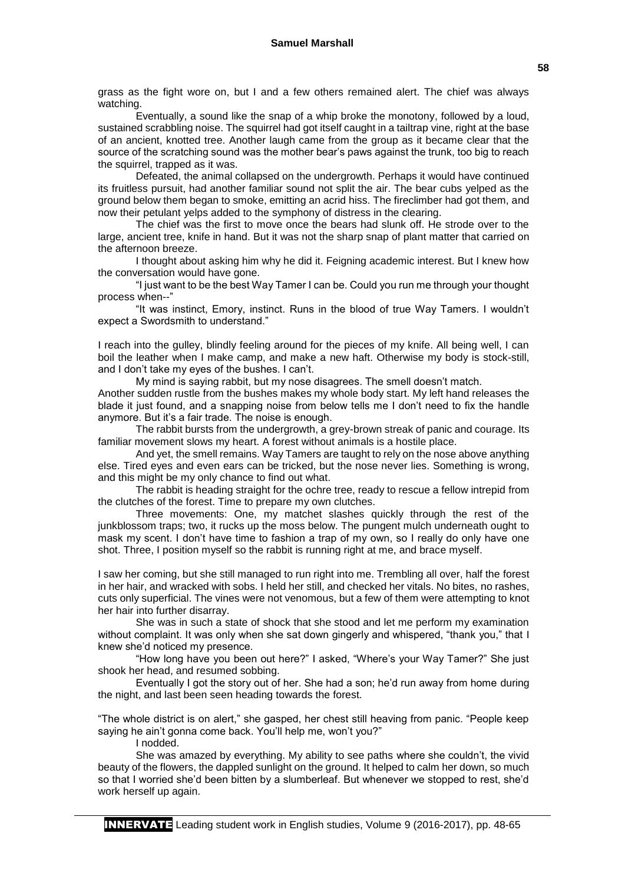grass as the fight wore on, but I and a few others remained alert. The chief was always watching.

Eventually, a sound like the snap of a whip broke the monotony, followed by a loud, sustained scrabbling noise. The squirrel had got itself caught in a tailtrap vine, right at the base of an ancient, knotted tree. Another laugh came from the group as it became clear that the source of the scratching sound was the mother bear's paws against the trunk, too big to reach the squirrel, trapped as it was.

Defeated, the animal collapsed on the undergrowth. Perhaps it would have continued its fruitless pursuit, had another familiar sound not split the air. The bear cubs yelped as the ground below them began to smoke, emitting an acrid hiss. The fireclimber had got them, and now their petulant yelps added to the symphony of distress in the clearing.

The chief was the first to move once the bears had slunk off. He strode over to the large, ancient tree, knife in hand. But it was not the sharp snap of plant matter that carried on the afternoon breeze.

I thought about asking him why he did it. Feigning academic interest. But I knew how the conversation would have gone.

"I just want to be the best Way Tamer I can be. Could you run me through your thought process when--"

"It was instinct, Emory, instinct. Runs in the blood of true Way Tamers. I wouldn't expect a Swordsmith to understand."

I reach into the gulley, blindly feeling around for the pieces of my knife. All being well, I can boil the leather when I make camp, and make a new haft. Otherwise my body is stock-still, and I don't take my eyes of the bushes. I can't.

My mind is saying rabbit, but my nose disagrees. The smell doesn't match.

Another sudden rustle from the bushes makes my whole body start. My left hand releases the blade it just found, and a snapping noise from below tells me I don't need to fix the handle anymore. But it's a fair trade. The noise is enough.

The rabbit bursts from the undergrowth, a grey-brown streak of panic and courage. Its familiar movement slows my heart. A forest without animals is a hostile place.

And yet, the smell remains. Way Tamers are taught to rely on the nose above anything else. Tired eyes and even ears can be tricked, but the nose never lies. Something is wrong, and this might be my only chance to find out what.

The rabbit is heading straight for the ochre tree, ready to rescue a fellow intrepid from the clutches of the forest. Time to prepare my own clutches.

Three movements: One, my matchet slashes quickly through the rest of the junkblossom traps; two, it rucks up the moss below. The pungent mulch underneath ought to mask my scent. I don't have time to fashion a trap of my own, so I really do only have one shot. Three, I position myself so the rabbit is running right at me, and brace myself.

I saw her coming, but she still managed to run right into me. Trembling all over, half the forest in her hair, and wracked with sobs. I held her still, and checked her vitals. No bites, no rashes, cuts only superficial. The vines were not venomous, but a few of them were attempting to knot her hair into further disarray.

She was in such a state of shock that she stood and let me perform my examination without complaint. It was only when she sat down gingerly and whispered, "thank you," that I knew she'd noticed my presence.

"How long have you been out here?" I asked, "Where's your Way Tamer?" She just shook her head, and resumed sobbing.

Eventually I got the story out of her. She had a son; he'd run away from home during the night, and last been seen heading towards the forest.

"The whole district is on alert," she gasped, her chest still heaving from panic. "People keep saying he ain't gonna come back. You'll help me, won't you?"

I nodded.

She was amazed by everything. My ability to see paths where she couldn't, the vivid beauty of the flowers, the dappled sunlight on the ground. It helped to calm her down, so much so that I worried she'd been bitten by a slumberleaf. But whenever we stopped to rest, she'd work herself up again.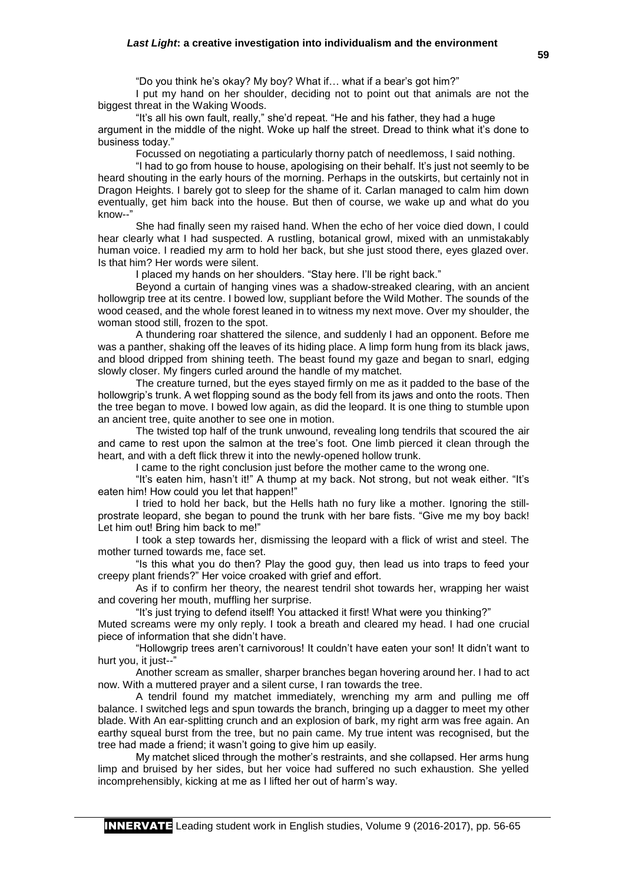"Do you think he's okay? My boy? What if… what if a bear's got him?"

I put my hand on her shoulder, deciding not to point out that animals are not the biggest threat in the Waking Woods.

"It's all his own fault, really," she'd repeat. "He and his father, they had a huge argument in the middle of the night. Woke up half the street. Dread to think what it's done to business today."

Focussed on negotiating a particularly thorny patch of needlemoss, I said nothing.

"I had to go from house to house, apologising on their behalf. It's just not seemly to be heard shouting in the early hours of the morning. Perhaps in the outskirts, but certainly not in Dragon Heights. I barely got to sleep for the shame of it. Carlan managed to calm him down eventually, get him back into the house. But then of course, we wake up and what do you know--"

She had finally seen my raised hand. When the echo of her voice died down, I could hear clearly what I had suspected. A rustling, botanical growl, mixed with an unmistakably human voice. I readied my arm to hold her back, but she just stood there, eyes glazed over. Is that him? Her words were silent.

I placed my hands on her shoulders. "Stay here. I'll be right back."

Beyond a curtain of hanging vines was a shadow-streaked clearing, with an ancient hollowgrip tree at its centre. I bowed low, suppliant before the Wild Mother. The sounds of the wood ceased, and the whole forest leaned in to witness my next move. Over my shoulder, the woman stood still, frozen to the spot.

A thundering roar shattered the silence, and suddenly I had an opponent. Before me was a panther, shaking off the leaves of its hiding place. A limp form hung from its black jaws, and blood dripped from shining teeth. The beast found my gaze and began to snarl, edging slowly closer. My fingers curled around the handle of my matchet.

The creature turned, but the eyes stayed firmly on me as it padded to the base of the hollowgrip's trunk. A wet flopping sound as the body fell from its jaws and onto the roots. Then the tree began to move. I bowed low again, as did the leopard. It is one thing to stumble upon an ancient tree, quite another to see one in motion.

The twisted top half of the trunk unwound, revealing long tendrils that scoured the air and came to rest upon the salmon at the tree's foot. One limb pierced it clean through the heart, and with a deft flick threw it into the newly-opened hollow trunk.

I came to the right conclusion just before the mother came to the wrong one.

"It's eaten him, hasn't it!" A thump at my back. Not strong, but not weak either. "It's eaten him! How could you let that happen!"

I tried to hold her back, but the Hells hath no fury like a mother. Ignoring the stillprostrate leopard, she began to pound the trunk with her bare fists. "Give me my boy back! Let him out! Bring him back to me!"

I took a step towards her, dismissing the leopard with a flick of wrist and steel. The mother turned towards me, face set.

"Is this what you do then? Play the good guy, then lead us into traps to feed your creepy plant friends?" Her voice croaked with grief and effort.

As if to confirm her theory, the nearest tendril shot towards her, wrapping her waist and covering her mouth, muffling her surprise.

"It's just trying to defend itself! You attacked it first! What were you thinking?"

Muted screams were my only reply. I took a breath and cleared my head. I had one crucial piece of information that she didn't have.

"Hollowgrip trees aren't carnivorous! It couldn't have eaten your son! It didn't want to hurt you, it just--"

Another scream as smaller, sharper branches began hovering around her. I had to act now. With a muttered prayer and a silent curse, I ran towards the tree.

A tendril found my matchet immediately, wrenching my arm and pulling me off balance. I switched legs and spun towards the branch, bringing up a dagger to meet my other blade. With An ear-splitting crunch and an explosion of bark, my right arm was free again. An earthy squeal burst from the tree, but no pain came. My true intent was recognised, but the tree had made a friend; it wasn't going to give him up easily.

My matchet sliced through the mother's restraints, and she collapsed. Her arms hung limp and bruised by her sides, but her voice had suffered no such exhaustion. She yelled incomprehensibly, kicking at me as I lifted her out of harm's way.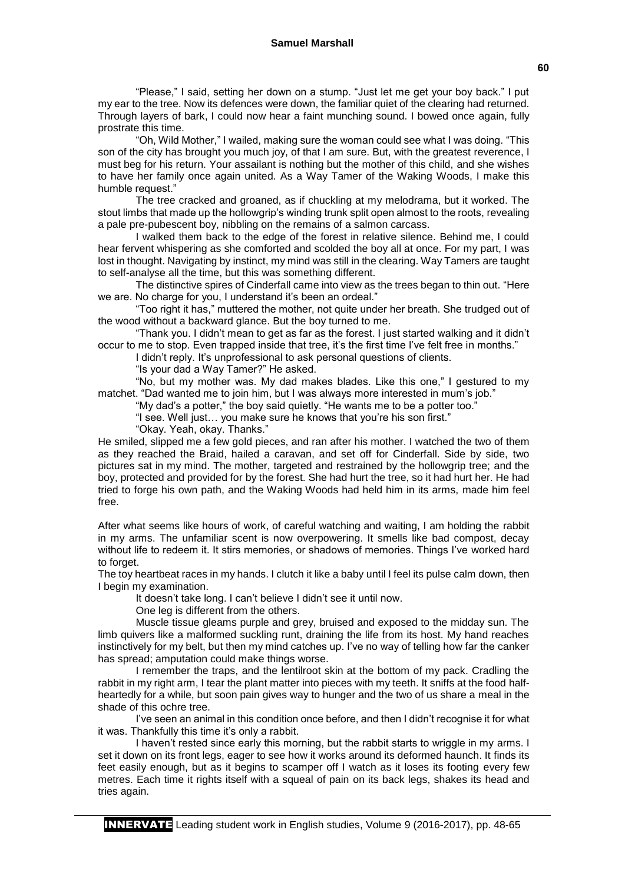#### **Samuel Marshall**

"Please," I said, setting her down on a stump. "Just let me get your boy back." I put my ear to the tree. Now its defences were down, the familiar quiet of the clearing had returned. Through layers of bark, I could now hear a faint munching sound. I bowed once again, fully prostrate this time.

"Oh, Wild Mother," I wailed, making sure the woman could see what I was doing. "This son of the city has brought you much joy, of that I am sure. But, with the greatest reverence, I must beg for his return. Your assailant is nothing but the mother of this child, and she wishes to have her family once again united. As a Way Tamer of the Waking Woods, I make this humble request."

The tree cracked and groaned, as if chuckling at my melodrama, but it worked. The stout limbs that made up the hollowgrip's winding trunk split open almost to the roots, revealing a pale pre-pubescent boy, nibbling on the remains of a salmon carcass.

I walked them back to the edge of the forest in relative silence. Behind me, I could hear fervent whispering as she comforted and scolded the boy all at once. For my part, I was lost in thought. Navigating by instinct, my mind was still in the clearing. Way Tamers are taught to self-analyse all the time, but this was something different.

The distinctive spires of Cinderfall came into view as the trees began to thin out. "Here we are. No charge for you, I understand it's been an ordeal."

"Too right it has," muttered the mother, not quite under her breath. She trudged out of the wood without a backward glance. But the boy turned to me.

"Thank you. I didn't mean to get as far as the forest. I just started walking and it didn't occur to me to stop. Even trapped inside that tree, it's the first time I've felt free in months."

I didn't reply. It's unprofessional to ask personal questions of clients.

"Is your dad a Way Tamer?" He asked.

"No, but my mother was. My dad makes blades. Like this one," I gestured to my matchet. "Dad wanted me to join him, but I was always more interested in mum's job."

"My dad's a potter," the boy said quietly. "He wants me to be a potter too."

"I see. Well just… you make sure he knows that you're his son first."

"Okay. Yeah, okay. Thanks."

He smiled, slipped me a few gold pieces, and ran after his mother. I watched the two of them as they reached the Braid, hailed a caravan, and set off for Cinderfall. Side by side, two pictures sat in my mind. The mother, targeted and restrained by the hollowgrip tree; and the boy, protected and provided for by the forest. She had hurt the tree, so it had hurt her. He had tried to forge his own path, and the Waking Woods had held him in its arms, made him feel free.

After what seems like hours of work, of careful watching and waiting, I am holding the rabbit in my arms. The unfamiliar scent is now overpowering. It smells like bad compost, decay without life to redeem it. It stirs memories, or shadows of memories. Things I've worked hard to forget.

The toy heartbeat races in my hands. I clutch it like a baby until I feel its pulse calm down, then I begin my examination.

It doesn't take long. I can't believe I didn't see it until now.

One leg is different from the others.

Muscle tissue gleams purple and grey, bruised and exposed to the midday sun. The limb quivers like a malformed suckling runt, draining the life from its host. My hand reaches instinctively for my belt, but then my mind catches up. I've no way of telling how far the canker has spread; amputation could make things worse.

I remember the traps, and the lentilroot skin at the bottom of my pack. Cradling the rabbit in my right arm, I tear the plant matter into pieces with my teeth. It sniffs at the food halfheartedly for a while, but soon pain gives way to hunger and the two of us share a meal in the shade of this ochre tree.

I've seen an animal in this condition once before, and then I didn't recognise it for what it was. Thankfully this time it's only a rabbit.

I haven't rested since early this morning, but the rabbit starts to wriggle in my arms. I set it down on its front legs, eager to see how it works around its deformed haunch. It finds its feet easily enough, but as it begins to scamper off I watch as it loses its footing every few metres. Each time it rights itself with a squeal of pain on its back legs, shakes its head and tries again.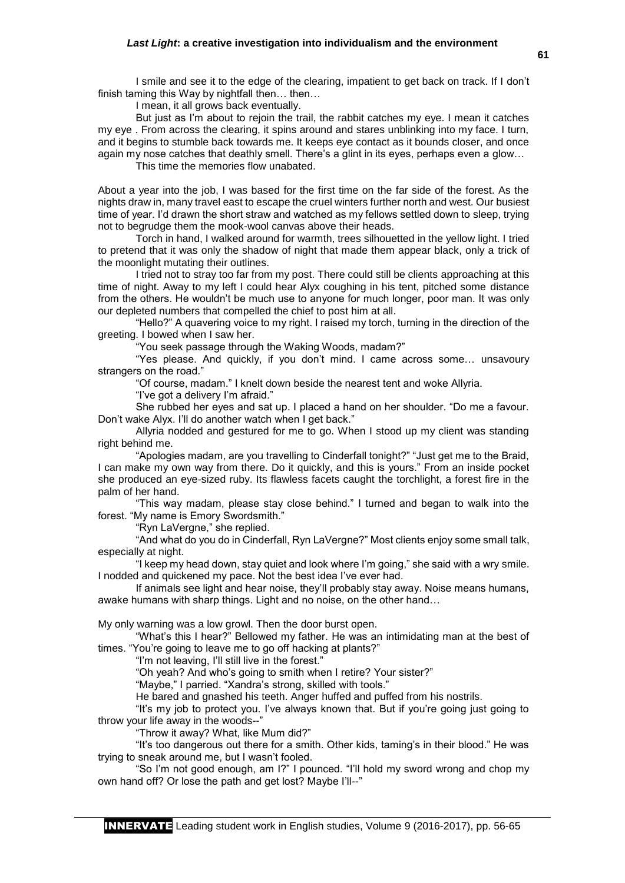#### *Last Light***: a creative investigation into individualism and the environment**

I smile and see it to the edge of the clearing, impatient to get back on track. If I don't finish taming this Way by nightfall then… then…

I mean, it all grows back eventually.

But just as I'm about to rejoin the trail, the rabbit catches my eye. I mean it catches my eye . From across the clearing, it spins around and stares unblinking into my face. I turn, and it begins to stumble back towards me. It keeps eye contact as it bounds closer, and once again my nose catches that deathly smell. There's a glint in its eyes, perhaps even a glow...

This time the memories flow unabated.

About a year into the job, I was based for the first time on the far side of the forest. As the nights draw in, many travel east to escape the cruel winters further north and west. Our busiest time of year. I'd drawn the short straw and watched as my fellows settled down to sleep, trying not to begrudge them the mook-wool canvas above their heads.

Torch in hand, I walked around for warmth, trees silhouetted in the yellow light. I tried to pretend that it was only the shadow of night that made them appear black, only a trick of the moonlight mutating their outlines.

I tried not to stray too far from my post. There could still be clients approaching at this time of night. Away to my left I could hear Alyx coughing in his tent, pitched some distance from the others. He wouldn't be much use to anyone for much longer, poor man. It was only our depleted numbers that compelled the chief to post him at all.

"Hello?" A quavering voice to my right. I raised my torch, turning in the direction of the greeting. I bowed when I saw her.

"You seek passage through the Waking Woods, madam?"

"Yes please. And quickly, if you don't mind. I came across some… unsavoury strangers on the road."

"Of course, madam." I knelt down beside the nearest tent and woke Allyria.

"I've got a delivery I'm afraid."

She rubbed her eyes and sat up. I placed a hand on her shoulder. "Do me a favour. Don't wake Alyx. I'll do another watch when I get back."

Allyria nodded and gestured for me to go. When I stood up my client was standing right behind me.

"Apologies madam, are you travelling to Cinderfall tonight?" "Just get me to the Braid, I can make my own way from there. Do it quickly, and this is yours." From an inside pocket she produced an eye-sized ruby. Its flawless facets caught the torchlight, a forest fire in the palm of her hand.

"This way madam, please stay close behind." I turned and began to walk into the forest. "My name is Emory Swordsmith."

"Ryn LaVergne," she replied.

"And what do you do in Cinderfall, Ryn LaVergne?" Most clients enjoy some small talk, especially at night.

"I keep my head down, stay quiet and look where I'm going," she said with a wry smile. I nodded and quickened my pace. Not the best idea I've ever had.

If animals see light and hear noise, they'll probably stay away. Noise means humans, awake humans with sharp things. Light and no noise, on the other hand…

My only warning was a low growl. Then the door burst open.

"What's this I hear?" Bellowed my father. He was an intimidating man at the best of times. "You're going to leave me to go off hacking at plants?"

"I'm not leaving, I'll still live in the forest."

"Oh yeah? And who's going to smith when I retire? Your sister?"

"Maybe," I parried. "Xandra's strong, skilled with tools."

He bared and gnashed his teeth. Anger huffed and puffed from his nostrils.

"It's my job to protect you. I've always known that. But if you're going just going to throw your life away in the woods--"

"Throw it away? What, like Mum did?"

"It's too dangerous out there for a smith. Other kids, taming's in their blood." He was trying to sneak around me, but I wasn't fooled.

"So I'm not good enough, am I?" I pounced. "I'll hold my sword wrong and chop my own hand off? Or lose the path and get lost? Maybe I'll--"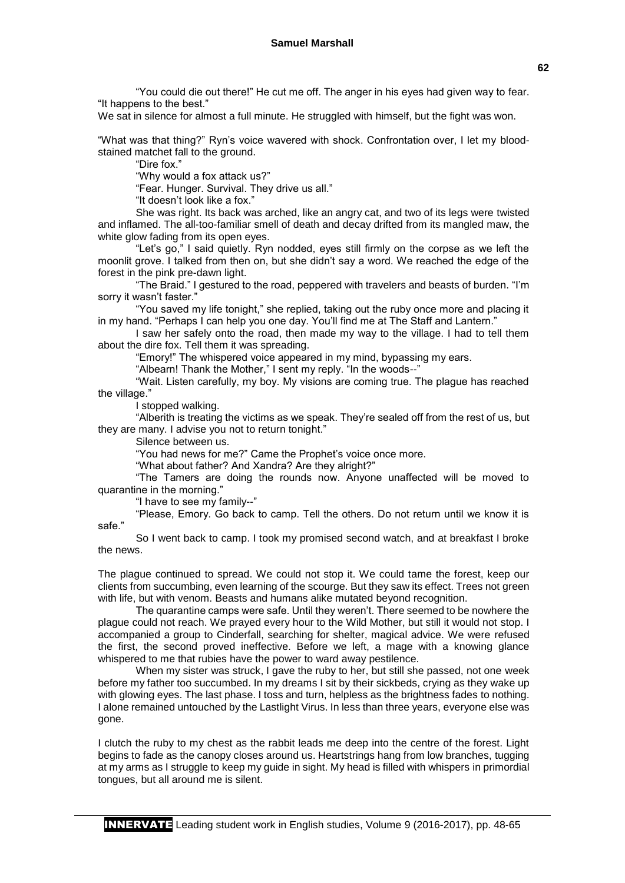"You could die out there!" He cut me off. The anger in his eyes had given way to fear. "It happens to the best."

We sat in silence for almost a full minute. He struggled with himself, but the fight was won.

"What was that thing?" Ryn's voice wavered with shock. Confrontation over, I let my bloodstained matchet fall to the ground.

"Dire fox."

"Why would a fox attack us?"

"Fear. Hunger. Survival. They drive us all."

"It doesn't look like a fox."

She was right. Its back was arched, like an angry cat, and two of its legs were twisted and inflamed. The all-too-familiar smell of death and decay drifted from its mangled maw, the white glow fading from its open eyes.

"Let's go," I said quietly. Ryn nodded, eyes still firmly on the corpse as we left the moonlit grove. I talked from then on, but she didn't say a word. We reached the edge of the forest in the pink pre-dawn light.

"The Braid." I gestured to the road, peppered with travelers and beasts of burden. "I'm sorry it wasn't faster."

"You saved my life tonight," she replied, taking out the ruby once more and placing it in my hand. "Perhaps I can help you one day. You'll find me at The Staff and Lantern."

I saw her safely onto the road, then made my way to the village. I had to tell them about the dire fox. Tell them it was spreading.

"Emory!" The whispered voice appeared in my mind, bypassing my ears.

"Albearn! Thank the Mother," I sent my reply. "In the woods--"

"Wait. Listen carefully, my boy. My visions are coming true. The plague has reached the village."

I stopped walking.

"Alberith is treating the victims as we speak. They're sealed off from the rest of us, but they are many. I advise you not to return tonight."

Silence between us.

"You had news for me?" Came the Prophet's voice once more.

"What about father? And Xandra? Are they alright?"

"The Tamers are doing the rounds now. Anyone unaffected will be moved to quarantine in the morning."

"I have to see my family--"

"Please, Emory. Go back to camp. Tell the others. Do not return until we know it is safe."

So I went back to camp. I took my promised second watch, and at breakfast I broke the news.

The plague continued to spread. We could not stop it. We could tame the forest, keep our clients from succumbing, even learning of the scourge. But they saw its effect. Trees not green with life, but with venom. Beasts and humans alike mutated beyond recognition.

The quarantine camps were safe. Until they weren't. There seemed to be nowhere the plague could not reach. We prayed every hour to the Wild Mother, but still it would not stop. I accompanied a group to Cinderfall, searching for shelter, magical advice. We were refused the first, the second proved ineffective. Before we left, a mage with a knowing glance whispered to me that rubies have the power to ward away pestilence.

When my sister was struck, I gave the ruby to her, but still she passed, not one week before my father too succumbed. In my dreams I sit by their sickbeds, crying as they wake up with glowing eyes. The last phase. I toss and turn, helpless as the brightness fades to nothing. I alone remained untouched by the Lastlight Virus. In less than three years, everyone else was gone.

I clutch the ruby to my chest as the rabbit leads me deep into the centre of the forest. Light begins to fade as the canopy closes around us. Heartstrings hang from low branches, tugging at my arms as I struggle to keep my guide in sight. My head is filled with whispers in primordial tongues, but all around me is silent.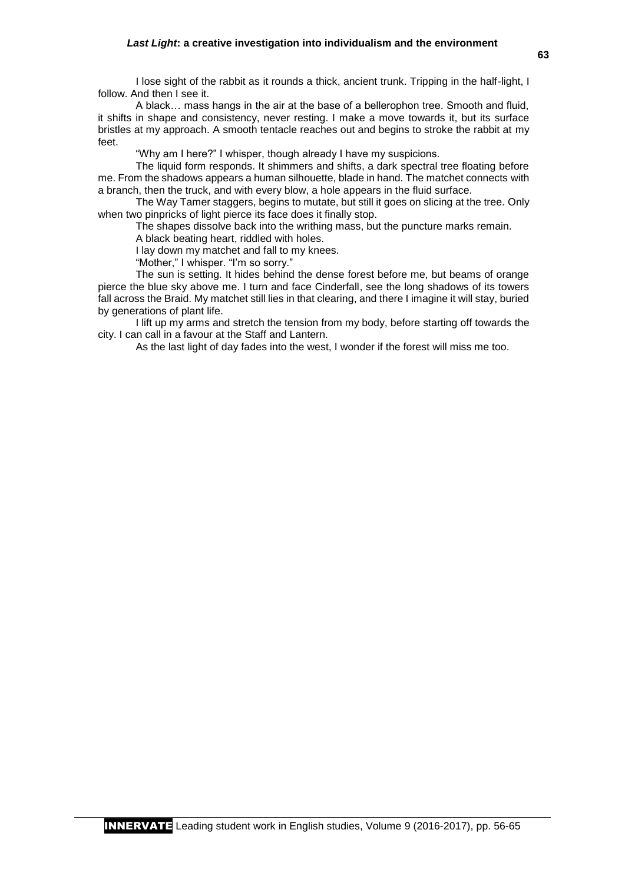#### *Last Light***: a creative investigation into individualism and the environment**

I lose sight of the rabbit as it rounds a thick, ancient trunk. Tripping in the half-light, I follow. And then I see it.

A black… mass hangs in the air at the base of a bellerophon tree. Smooth and fluid, it shifts in shape and consistency, never resting. I make a move towards it, but its surface bristles at my approach. A smooth tentacle reaches out and begins to stroke the rabbit at my feet.

"Why am I here?" I whisper, though already I have my suspicions.

The liquid form responds. It shimmers and shifts, a dark spectral tree floating before me. From the shadows appears a human silhouette, blade in hand. The matchet connects with a branch, then the truck, and with every blow, a hole appears in the fluid surface.

The Way Tamer staggers, begins to mutate, but still it goes on slicing at the tree. Only when two pinpricks of light pierce its face does it finally stop.

The shapes dissolve back into the writhing mass, but the puncture marks remain.

A black beating heart, riddled with holes.

I lay down my matchet and fall to my knees.

"Mother," I whisper. "I'm so sorry."

The sun is setting. It hides behind the dense forest before me, but beams of orange pierce the blue sky above me. I turn and face Cinderfall, see the long shadows of its towers fall across the Braid. My matchet still lies in that clearing, and there I imagine it will stay, buried by generations of plant life.

I lift up my arms and stretch the tension from my body, before starting off towards the city. I can call in a favour at the Staff and Lantern.

As the last light of day fades into the west, I wonder if the forest will miss me too.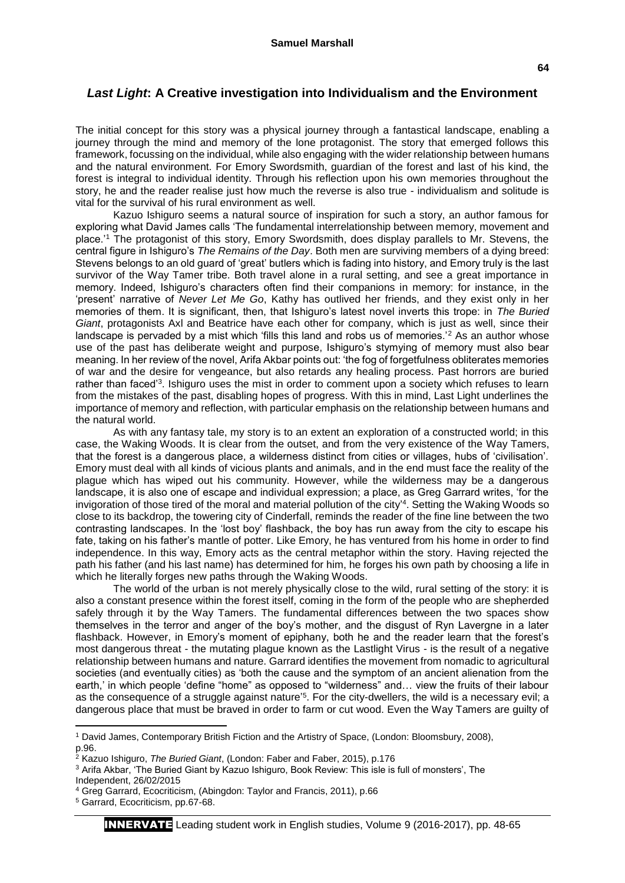## *Last Light***: A Creative investigation into Individualism and the Environment**

The initial concept for this story was a physical journey through a fantastical landscape, enabling a journey through the mind and memory of the lone protagonist. The story that emerged follows this framework, focussing on the individual, while also engaging with the wider relationship between humans and the natural environment. For Emory Swordsmith, guardian of the forest and last of his kind, the forest is integral to individual identity. Through his reflection upon his own memories throughout the story, he and the reader realise just how much the reverse is also true - individualism and solitude is vital for the survival of his rural environment as well.

Kazuo Ishiguro seems a natural source of inspiration for such a story, an author famous for exploring what David James calls 'The fundamental interrelationship between memory, movement and place.'<sup>1</sup> The protagonist of this story, Emory Swordsmith, does display parallels to Mr. Stevens, the central figure in Ishiguro's *The Remains of the Day*. Both men are surviving members of a dying breed: Stevens belongs to an old guard of 'great' butlers which is fading into history, and Emory truly is the last survivor of the Way Tamer tribe. Both travel alone in a rural setting, and see a great importance in memory. Indeed, Ishiguro's characters often find their companions in memory: for instance, in the 'present' narrative of *Never Let Me Go*, Kathy has outlived her friends, and they exist only in her memories of them. It is significant, then, that Ishiguro's latest novel inverts this trope: in *The Buried Giant*, protagonists Axl and Beatrice have each other for company, which is just as well, since their landscape is pervaded by a mist which 'fills this land and robs us of memories.'<sup>2</sup> As an author whose use of the past has deliberate weight and purpose, Ishiguro's stymying of memory must also bear meaning. In her review of the novel, Arifa Akbar points out: 'the fog of forgetfulness obliterates memories of war and the desire for vengeance, but also retards any healing process. Past horrors are buried rather than faced'<sup>3</sup>. Ishiguro uses the mist in order to comment upon a society which refuses to learn from the mistakes of the past, disabling hopes of progress. With this in mind, Last Light underlines the importance of memory and reflection, with particular emphasis on the relationship between humans and the natural world.

As with any fantasy tale, my story is to an extent an exploration of a constructed world; in this case, the Waking Woods. It is clear from the outset, and from the very existence of the Way Tamers, that the forest is a dangerous place, a wilderness distinct from cities or villages, hubs of 'civilisation'. Emory must deal with all kinds of vicious plants and animals, and in the end must face the reality of the plague which has wiped out his community. However, while the wilderness may be a dangerous landscape, it is also one of escape and individual expression; a place, as Greg Garrard writes, 'for the invigoration of those tired of the moral and material pollution of the city' 4 . Setting the Waking Woods so close to its backdrop, the towering city of Cinderfall, reminds the reader of the fine line between the two contrasting landscapes. In the 'lost boy' flashback, the boy has run away from the city to escape his fate, taking on his father's mantle of potter. Like Emory, he has ventured from his home in order to find independence. In this way, Emory acts as the central metaphor within the story. Having rejected the path his father (and his last name) has determined for him, he forges his own path by choosing a life in which he literally forges new paths through the Waking Woods.

The world of the urban is not merely physically close to the wild, rural setting of the story: it is also a constant presence within the forest itself, coming in the form of the people who are shepherded safely through it by the Way Tamers. The fundamental differences between the two spaces show themselves in the terror and anger of the boy's mother, and the disgust of Ryn Lavergne in a later flashback. However, in Emory's moment of epiphany, both he and the reader learn that the forest's most dangerous threat - the mutating plague known as the Lastlight Virus - is the result of a negative relationship between humans and nature. Garrard identifies the movement from nomadic to agricultural societies (and eventually cities) as 'both the cause and the symptom of an ancient alienation from the earth,' in which people 'define "home" as opposed to "wilderness" and… view the fruits of their labour as the consequence of a struggle against nature<sup>'5</sup>. For the city-dwellers, the wild is a necessary evil; a dangerous place that must be braved in order to farm or cut wood. Even the Way Tamers are guilty of

**.** 

<sup>1</sup> David James, Contemporary British Fiction and the Artistry of Space, (London: Bloomsbury, 2008), p.96.

<sup>2</sup> Kazuo Ishiguro, *The Buried Giant*, (London: Faber and Faber, 2015), p.176

<sup>3</sup> Arifa Akbar, 'The Buried Giant by Kazuo Ishiguro, Book Review: This isle is full of monsters', The Independent, 26/02/2015

<sup>4</sup> Greg Garrard, Ecocriticism, (Abingdon: Taylor and Francis, 2011), p.66

<sup>5</sup> Garrard, Ecocriticism, pp.67-68.